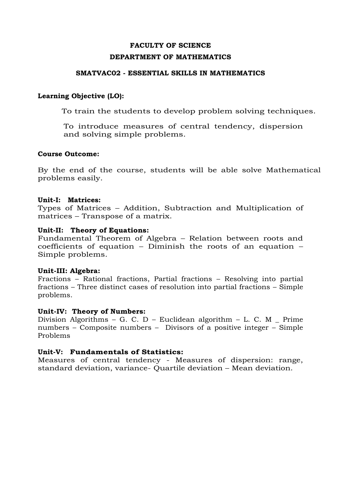# **FACULTY OF SCIENCE DEPARTMENT OF MATHEMATICS**

#### **SMATVAC02 - ESSENTIAL SKILLS IN MATHEMATICS**

### **Learning Objective (LO):**

To train the students to develop problem solving techniques.

To introduce measures of central tendency, dispersion and solving simple problems.

#### **Course Outcome:**

By the end of the course, students will be able solve Mathematical problems easily.

#### **Unit-I: Matrices:**

Types of Matrices – Addition, Subtraction and Multiplication of matrices – Transpose of a matrix.

#### **Unit-II: Theory of Equations:**

Fundamental Theorem of Algebra – Relation between roots and coefficients of equation – Diminish the roots of an equation – Simple problems.

#### **Unit-III: Algebra:**

Fractions – Rational fractions, Partial fractions – Resolving into partial fractions – Three distinct cases of resolution into partial fractions – Simple problems.

#### **Unit-IV: Theory of Numbers:**

Division Algorithms – G. C. D – Euclidean algorithm – L. C. M  $\_$  Prime numbers – Composite numbers – Divisors of a positive integer – Simple Problems

#### **Unit-V: Fundamentals of Statistics:**

Measures of central tendency - Measures of dispersion: range, standard deviation, variance- Quartile deviation – Mean deviation.